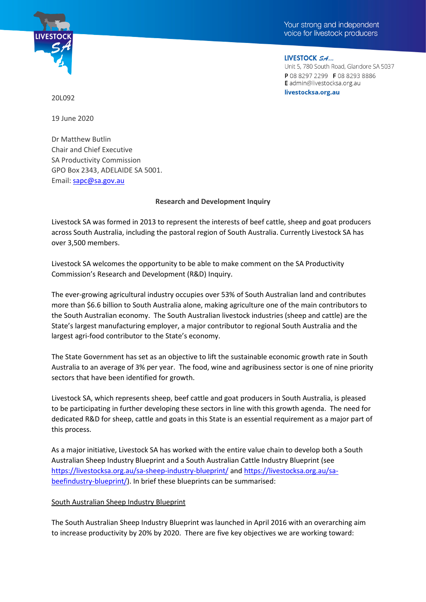



LIVESTOCK SA... Unit 5, 780 South Road, Glandore SA 5037 P 08 8297 2299 F 08 8293 8886 E admin@livestocksa.org.au livestocksa.org.au

20L092

19 June 2020

Dr Matthew Butlin Chair and Chief Executive SA Productivity Commission GPO Box 2343, ADELAIDE SA 5001. Email: [sapc@sa.gov.au](mailto:sapc@sa.gov.au)

#### **Research and Development Inquiry**

Livestock SA was formed in 2013 to represent the interests of beef cattle, sheep and goat producers across South Australia, including the pastoral region of South Australia. Currently Livestock SA has over 3,500 members.

Livestock SA welcomes the opportunity to be able to make comment on the SA Productivity Commission's Research and Development (R&D) Inquiry.

The ever-growing agricultural industry occupies over 53% of South Australian land and contributes more than \$6.6 billion to South Australia alone, making agriculture one of the main contributors to the South Australian economy. The South Australian livestock industries (sheep and cattle) are the State's largest manufacturing employer, a major contributor to regional South Australia and the largest agri-food contributor to the State's economy.

The State Government has set as an objective to lift the sustainable economic growth rate in South Australia to an average of 3% per year. The food, wine and agribusiness sector is one of nine priority sectors that have been identified for growth.

Livestock SA, which represents sheep, beef cattle and goat producers in South Australia, is pleased to be participating in further developing these sectors in line with this growth agenda. The need for dedicated R&D for sheep, cattle and goats in this State is an essential requirement as a major part of this process.

As a major initiative, Livestock SA has worked with the entire value chain to develop both a South Australian Sheep Industry Blueprint and a South Australian Cattle Industry Blueprint (see <https://livestocksa.org.au/sa-sheep-industry-blueprint/> and [https://livestocksa.org.au/sa](https://livestocksa.org.au/sa-beefindustry-blueprint/)[beefindustry-blueprint/\)](https://livestocksa.org.au/sa-beefindustry-blueprint/). In brief these blueprints can be summarised:

## South Australian Sheep Industry Blueprint

The South Australian Sheep Industry Blueprint was launched in April 2016 with an overarching aim to increase productivity by 20% by 2020. There are five key objectives we are working toward: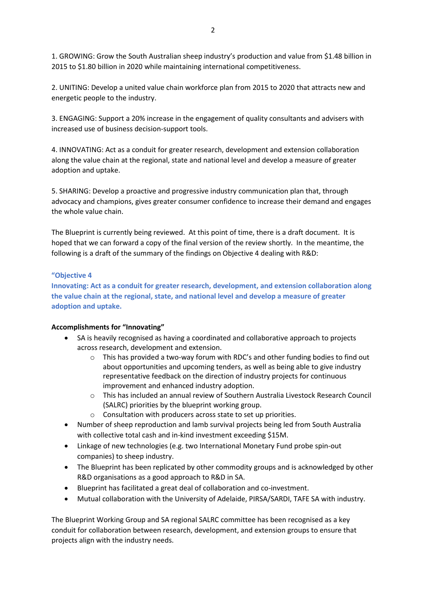1. GROWING: Grow the South Australian sheep industry's production and value from \$1.48 billion in 2015 to \$1.80 billion in 2020 while maintaining international competitiveness.

2. UNITING: Develop a united value chain workforce plan from 2015 to 2020 that attracts new and energetic people to the industry.

3. ENGAGING: Support a 20% increase in the engagement of quality consultants and advisers with increased use of business decision-support tools.

4. INNOVATING: Act as a conduit for greater research, development and extension collaboration along the value chain at the regional, state and national level and develop a measure of greater adoption and uptake.

5. SHARING: Develop a proactive and progressive industry communication plan that, through advocacy and champions, gives greater consumer confidence to increase their demand and engages the whole value chain.

The Blueprint is currently being reviewed. At this point of time, there is a draft document. It is hoped that we can forward a copy of the final version of the review shortly. In the meantime, the following is a draft of the summary of the findings on Objective 4 dealing with R&D:

#### **"Objective 4**

**Innovating: Act as a conduit for greater research, development, and extension collaboration along the value chain at the regional, state, and national level and develop a measure of greater adoption and uptake.** 

## **Accomplishments for "Innovating"**

- SA is heavily recognised as having a coordinated and collaborative approach to projects across research, development and extension.
	- $\circ$  This has provided a two-way forum with RDC's and other funding bodies to find out about opportunities and upcoming tenders, as well as being able to give industry representative feedback on the direction of industry projects for continuous improvement and enhanced industry adoption.
	- o This has included an annual review of Southern Australia Livestock Research Council (SALRC) priorities by the blueprint working group.
	- o Consultation with producers across state to set up priorities.
- Number of sheep reproduction and lamb survival projects being led from South Australia with collective total cash and in-kind investment exceeding \$15M.
- Linkage of new technologies (e.g. two International Monetary Fund probe spin-out companies) to sheep industry.
- The Blueprint has been replicated by other commodity groups and is acknowledged by other R&D organisations as a good approach to R&D in SA.
- Blueprint has facilitated a great deal of collaboration and co-investment.
- Mutual collaboration with the University of Adelaide, PIRSA/SARDI, TAFE SA with industry.

The Blueprint Working Group and SA regional SALRC committee has been recognised as a key conduit for collaboration between research, development, and extension groups to ensure that projects align with the industry needs.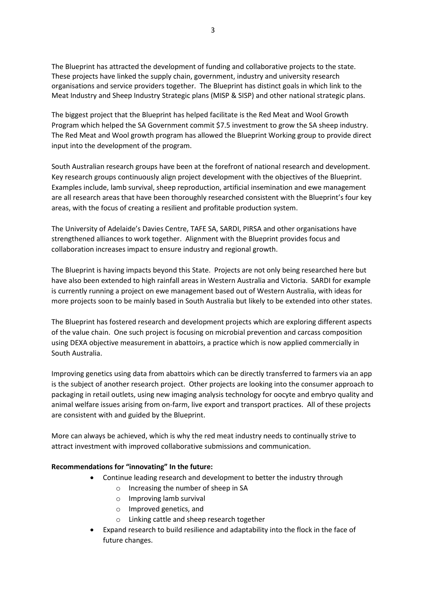The Blueprint has attracted the development of funding and collaborative projects to the state. These projects have linked the supply chain, government, industry and university research organisations and service providers together. The Blueprint has distinct goals in which link to the Meat Industry and Sheep Industry Strategic plans (MISP & SISP) and other national strategic plans.

The biggest project that the Blueprint has helped facilitate is the Red Meat and Wool Growth Program which helped the SA Government commit \$7.5 investment to grow the SA sheep industry. The Red Meat and Wool growth program has allowed the Blueprint Working group to provide direct input into the development of the program.

South Australian research groups have been at the forefront of national research and development. Key research groups continuously align project development with the objectives of the Blueprint. Examples include, lamb survival, sheep reproduction, artificial insemination and ewe management are all research areas that have been thoroughly researched consistent with the Blueprint's four key areas, with the focus of creating a resilient and profitable production system.

The University of Adelaide's Davies Centre, TAFE SA, SARDI, PIRSA and other organisations have strengthened alliances to work together. Alignment with the Blueprint provides focus and collaboration increases impact to ensure industry and regional growth.

The Blueprint is having impacts beyond this State. Projects are not only being researched here but have also been extended to high rainfall areas in Western Australia and Victoria. SARDI for example is currently running a project on ewe management based out of Western Australia, with ideas for more projects soon to be mainly based in South Australia but likely to be extended into other states.

The Blueprint has fostered research and development projects which are exploring different aspects of the value chain. One such project is focusing on microbial prevention and carcass composition using DEXA objective measurement in abattoirs, a practice which is now applied commercially in South Australia.

Improving genetics using data from abattoirs which can be directly transferred to farmers via an app is the subject of another research project. Other projects are looking into the consumer approach to packaging in retail outlets, using new imaging analysis technology for oocyte and embryo quality and animal welfare issues arising from on-farm, live export and transport practices. All of these projects are consistent with and guided by the Blueprint.

More can always be achieved, which is why the red meat industry needs to continually strive to attract investment with improved collaborative submissions and communication.

## **Recommendations for "innovating" In the future:**

- Continue leading research and development to better the industry through
	- o Increasing the number of sheep in SA
	- o Improving lamb survival
	- o Improved genetics, and
	- o Linking cattle and sheep research together
- Expand research to build resilience and adaptability into the flock in the face of future changes.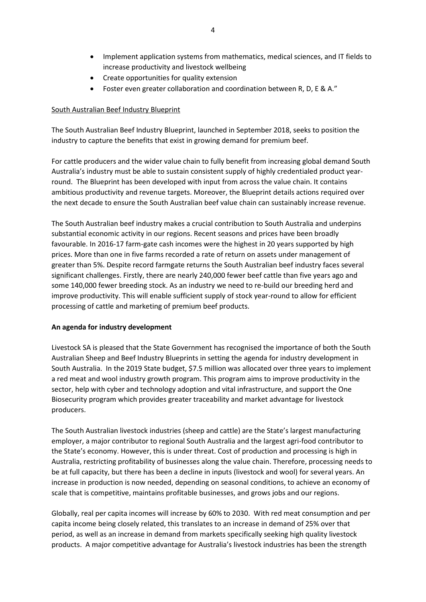- Implement application systems from mathematics, medical sciences, and IT fields to increase productivity and livestock wellbeing
- Create opportunities for quality extension
- Foster even greater collaboration and coordination between R, D, E & A."

# South Australian Beef Industry Blueprint

The South Australian Beef Industry Blueprint, launched in September 2018, seeks to position the industry to capture the benefits that exist in growing demand for premium beef.

For cattle producers and the wider value chain to fully benefit from increasing global demand South Australia's industry must be able to sustain consistent supply of highly credentialed product yearround. The Blueprint has been developed with input from across the value chain. It contains ambitious productivity and revenue targets. Moreover, the Blueprint details actions required over the next decade to ensure the South Australian beef value chain can sustainably increase revenue.

The South Australian beef industry makes a crucial contribution to South Australia and underpins substantial economic activity in our regions. Recent seasons and prices have been broadly favourable. In 2016-17 farm-gate cash incomes were the highest in 20 years supported by high prices. More than one in five farms recorded a rate of return on assets under management of greater than 5%. Despite record farmgate returns the South Australian beef industry faces several significant challenges. Firstly, there are nearly 240,000 fewer beef cattle than five years ago and some 140,000 fewer breeding stock. As an industry we need to re-build our breeding herd and improve productivity. This will enable sufficient supply of stock year-round to allow for efficient processing of cattle and marketing of premium beef products.

# **An agenda for industry development**

Livestock SA is pleased that the State Government has recognised the importance of both the South Australian Sheep and Beef Industry Blueprints in setting the agenda for industry development in South Australia. In the 2019 State budget, \$7.5 million was allocated over three years to implement a red meat and wool industry growth program. This program aims to improve productivity in the sector, help with cyber and technology adoption and vital infrastructure, and support the One Biosecurity program which provides greater traceability and market advantage for livestock producers.

The South Australian livestock industries (sheep and cattle) are the State's largest manufacturing employer, a major contributor to regional South Australia and the largest agri-food contributor to the State's economy. However, this is under threat. Cost of production and processing is high in Australia, restricting profitability of businesses along the value chain. Therefore, processing needs to be at full capacity, but there has been a decline in inputs (livestock and wool) for several years. An increase in production is now needed, depending on seasonal conditions, to achieve an economy of scale that is competitive, maintains profitable businesses, and grows jobs and our regions.

Globally, real per capita incomes will increase by 60% to 2030. With red meat consumption and per capita income being closely related, this translates to an increase in demand of 25% over that period, as well as an increase in demand from markets specifically seeking high quality livestock products. A major competitive advantage for Australia's livestock industries has been the strength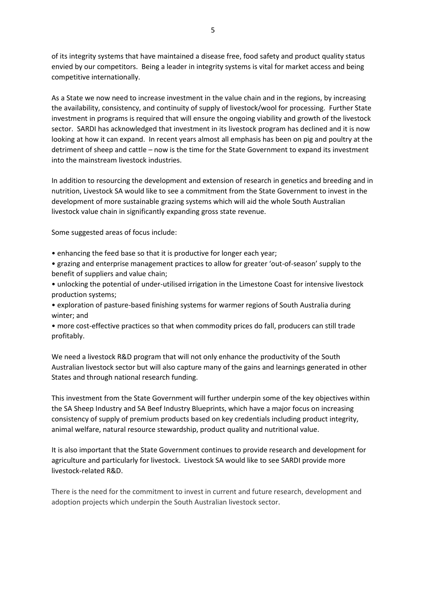of its integrity systems that have maintained a disease free, food safety and product quality status envied by our competitors. Being a leader in integrity systems is vital for market access and being competitive internationally.

As a State we now need to increase investment in the value chain and in the regions, by increasing the availability, consistency, and continuity of supply of livestock/wool for processing. Further State investment in programs is required that will ensure the ongoing viability and growth of the livestock sector. SARDI has acknowledged that investment in its livestock program has declined and it is now looking at how it can expand. In recent years almost all emphasis has been on pig and poultry at the detriment of sheep and cattle – now is the time for the State Government to expand its investment into the mainstream livestock industries.

In addition to resourcing the development and extension of research in genetics and breeding and in nutrition, Livestock SA would like to see a commitment from the State Government to invest in the development of more sustainable grazing systems which will aid the whole South Australian livestock value chain in significantly expanding gross state revenue.

Some suggested areas of focus include:

- enhancing the feed base so that it is productive for longer each year;
- grazing and enterprise management practices to allow for greater 'out-of-season' supply to the benefit of suppliers and value chain;
- unlocking the potential of under-utilised irrigation in the Limestone Coast for intensive livestock production systems;
- exploration of pasture-based finishing systems for warmer regions of South Australia during winter; and
- more cost-effective practices so that when commodity prices do fall, producers can still trade profitably.

We need a livestock R&D program that will not only enhance the productivity of the South Australian livestock sector but will also capture many of the gains and learnings generated in other States and through national research funding.

This investment from the State Government will further underpin some of the key objectives within the SA Sheep Industry and SA Beef Industry Blueprints, which have a major focus on increasing consistency of supply of premium products based on key credentials including product integrity, animal welfare, natural resource stewardship, product quality and nutritional value.

It is also important that the State Government continues to provide research and development for agriculture and particularly for livestock. Livestock SA would like to see SARDI provide more livestock-related R&D.

There is the need for the commitment to invest in current and future research, development and adoption projects which underpin the South Australian livestock sector.